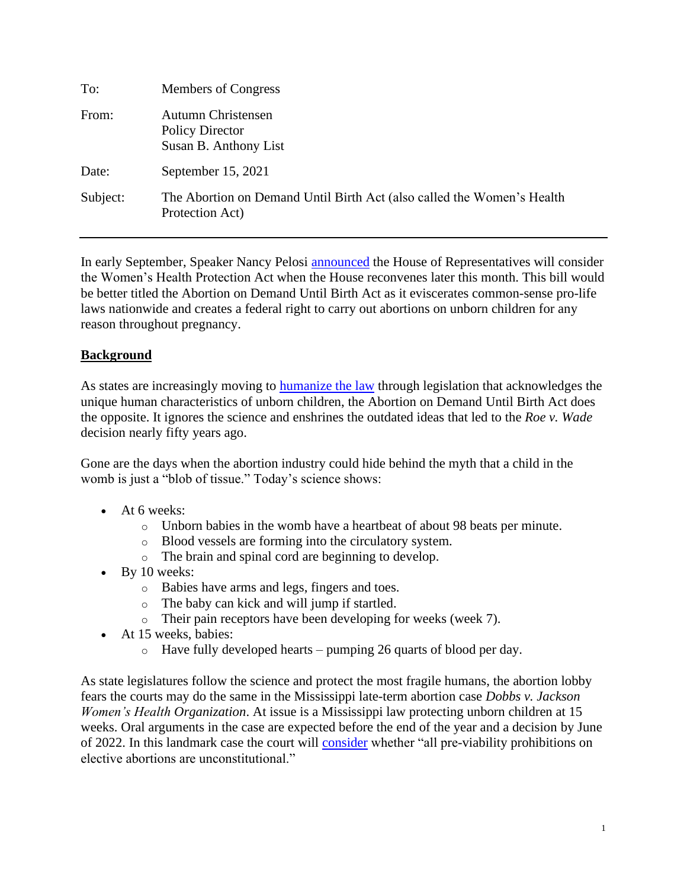| To:      | Members of Congress                                                                       |
|----------|-------------------------------------------------------------------------------------------|
| From:    | Autumn Christensen<br><b>Policy Director</b><br>Susan B. Anthony List                     |
| Date:    | September 15, 2021                                                                        |
| Subject: | The Abortion on Demand Until Birth Act (also called the Women's Health<br>Protection Act) |

In early September, Speaker Nancy Pelosi [announced](https://www.reuters.com/world/us/us-house-speaker-pelosi-pledges-action-bill-response-texas-abortion-law-2021-09-02/) the House of Representatives will consider the Women's Health Protection Act when the House reconvenes later this month. This bill would be better titled the Abortion on Demand Until Birth Act as it eviscerates common-sense pro-life laws nationwide and creates a federal right to carry out abortions on unborn children for any reason throughout pregnancy.

## **Background**

As states are increasingly moving to **humanize the law** through legislation that acknowledges the unique human characteristics of unborn children, the Abortion on Demand Until Birth Act does the opposite. It ignores the science and enshrines the outdated ideas that led to the *Roe v. Wade* decision nearly fifty years ago.

Gone are the days when the abortion industry could hide behind the myth that a child in the womb is just a "blob of tissue." Today's science shows:

- At 6 weeks:
	- o Unborn babies in the womb have a heartbeat of about 98 beats per minute.
	- o Blood vessels are forming into the circulatory system.
	- o The brain and spinal cord are beginning to develop.
- By 10 weeks:
	- o Babies have arms and legs, fingers and toes.
	- o The baby can kick and will jump if startled.
	- o Their pain receptors have been developing for weeks (week 7).
- At 15 weeks, babies:
	- o Have fully developed hearts pumping 26 quarts of blood per day.

As state legislatures follow the science and protect the most fragile humans, the abortion lobby fears the courts may do the same in the Mississippi late-term abortion case *Dobbs v. Jackson Women's Health Organization*. At issue is a Mississippi law protecting unborn children at 15 weeks. Oral arguments in the case are expected before the end of the year and a decision by June of 2022. In this landmark case the court will [consider](https://www.scotusblog.com/case-files/cases/dobbs-v-jackson-womens-health-organization/) whether "all pre-viability prohibitions on elective abortions are unconstitutional."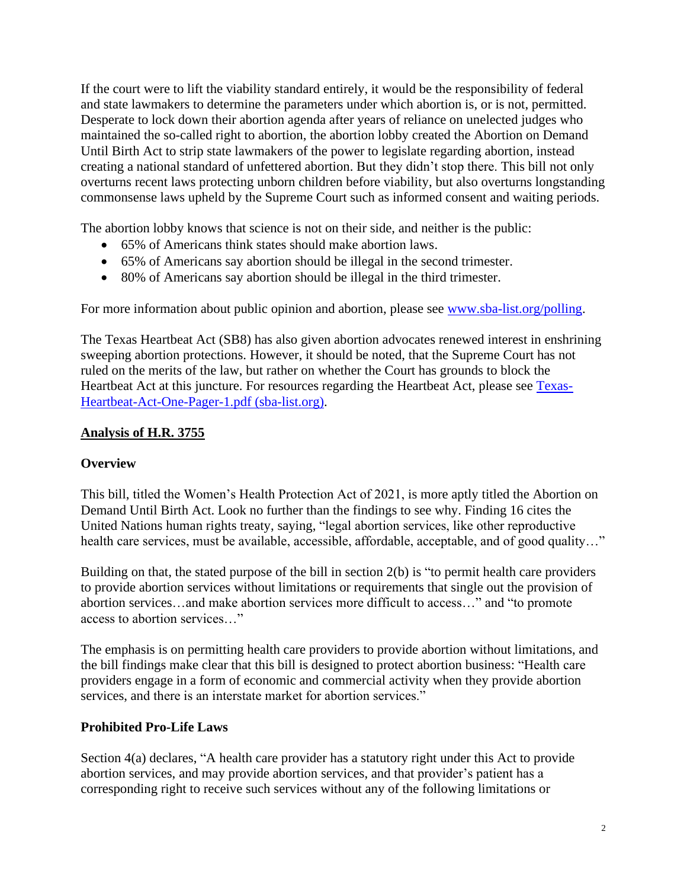If the court were to lift the viability standard entirely, it would be the responsibility of federal and state lawmakers to determine the parameters under which abortion is, or is not, permitted. Desperate to lock down their abortion agenda after years of reliance on unelected judges who maintained the so-called right to abortion, the abortion lobby created the Abortion on Demand Until Birth Act to strip state lawmakers of the power to legislate regarding abortion, instead creating a national standard of unfettered abortion. But they didn't stop there. This bill not only overturns recent laws protecting unborn children before viability, but also overturns longstanding commonsense laws upheld by the Supreme Court such as informed consent and waiting periods.

The abortion lobby knows that science is not on their side, and neither is the public:

- 65% of Americans think states should make abortion laws.
- 65% of Americans say abortion should be illegal in the second trimester.
- 80% of Americans say abortion should be illegal in the third trimester.

For more information about public opinion and abortion, please see [www.sba-list.org/polling.](http://www.sba-list.org/polling)

The Texas Heartbeat Act (SB8) has also given abortion advocates renewed interest in enshrining sweeping abortion protections. However, it should be noted, that the Supreme Court has not ruled on the merits of the law, but rather on whether the Court has grounds to block the Heartbeat Act at this juncture. For resources regarding the Heartbeat Act, please see [Texas-](https://www.sba-list.org/wp-content/uploads/2021/09/Texas-Heartbeat-Act-One-Pager-1.pdf)[Heartbeat-Act-One-Pager-1.pdf \(sba-list.org\).](https://www.sba-list.org/wp-content/uploads/2021/09/Texas-Heartbeat-Act-One-Pager-1.pdf)

## **Analysis of H.R. 3755**

## **Overview**

This bill, titled the Women's Health Protection Act of 2021, is more aptly titled the Abortion on Demand Until Birth Act. Look no further than the findings to see why. Finding 16 cites the United Nations human rights treaty, saying, "legal abortion services, like other reproductive health care services, must be available, accessible, affordable, acceptable, and of good quality..."

Building on that, the stated purpose of the bill in section 2(b) is "to permit health care providers to provide abortion services without limitations or requirements that single out the provision of abortion services…and make abortion services more difficult to access…" and "to promote access to abortion services…"

The emphasis is on permitting health care providers to provide abortion without limitations, and the bill findings make clear that this bill is designed to protect abortion business: "Health care providers engage in a form of economic and commercial activity when they provide abortion services, and there is an interstate market for abortion services."

## **Prohibited Pro-Life Laws**

Section 4(a) declares, "A health care provider has a statutory right under this Act to provide abortion services, and may provide abortion services, and that provider's patient has a corresponding right to receive such services without any of the following limitations or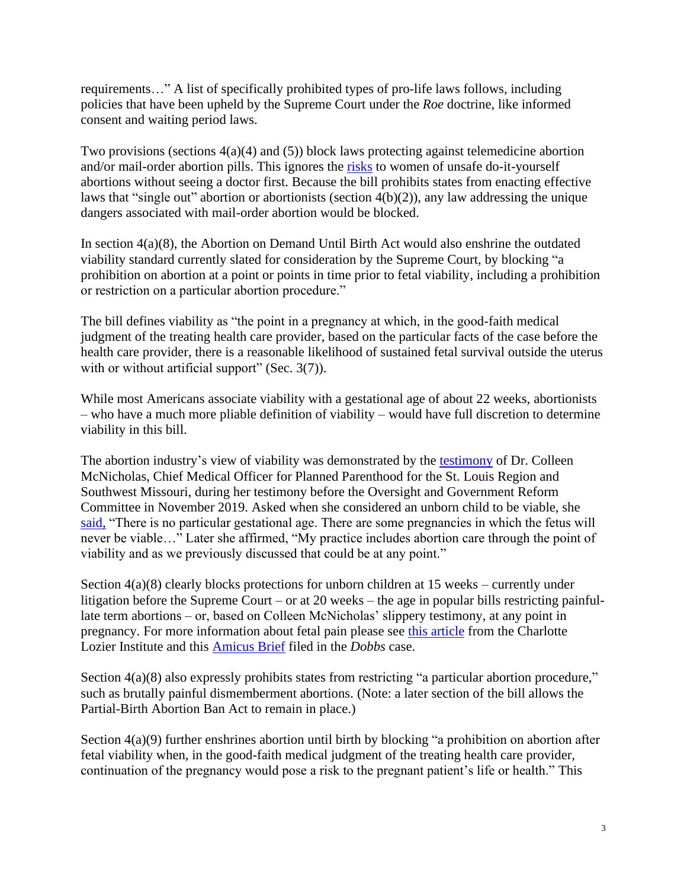requirements…" A list of specifically prohibited types of pro-life laws follows, including policies that have been upheld by the Supreme Court under the *Roe* doctrine, like informed consent and waiting period laws.

Two provisions (sections  $4(a)(4)$  and  $(5)$ ) block laws protecting against telemedicine abortion and/or mail-order abortion pills. This ignores the risks to women of unsafe do-it-yourself abortions without seeing a doctor first. Because the bill prohibits states from enacting effective laws that "single out" abortion or abortionists (section 4(b)(2)), any law addressing the unique dangers associated with mail-order abortion would be blocked.

In section 4(a)(8), the Abortion on Demand Until Birth Act would also enshrine the outdated viability standard currently slated for consideration by the Supreme Court, by blocking "a prohibition on abortion at a point or points in time prior to fetal viability, including a prohibition or restriction on a particular abortion procedure."

The bill defines viability as "the point in a pregnancy at which, in the good-faith medical judgment of the treating health care provider, based on the particular facts of the case before the health care provider, there is a reasonable likelihood of sustained fetal survival outside the uterus with or without artificial support" (Sec. 3(7)).

While most Americans associate viability with a gestational age of about 22 weeks, abortionists – who have a much more pliable definition of viability – would have full discretion to determine viability in this bill.

The abortion industry's view of viability was demonstrated by the testimony of Dr. Colleen McNicholas, Chief Medical Officer for Planned Parenthood for the St. Louis Region and Southwest Missouri, during her testimony before the Oversight and Government Reform Committee in November 2019. Asked when she considered an unborn child to be viable, she said, "There is no particular gestational age. There are some pregnancies in which the fetus will never be viable…" Later she affirmed, "My practice includes abortion care through the point of viability and as we previously discussed that could be at any point."

Section 4(a)(8) clearly blocks protections for unborn children at 15 weeks – currently under litigation before the Supreme Court – or at 20 weeks – the age in popular bills restricting painfullate term abortions – or, based on Colleen McNicholas' slippery testimony, at any point in pregnancy. For more information about fetal pain please see this article from the Charlotte Lozier Institute and this Amicus Brief filed in the *Dobbs* case.

Section 4(a)(8) also expressly prohibits states from restricting "a particular abortion procedure," such as brutally painful dismemberment abortions. (Note: a later section of the bill allows the Partial-Birth Abortion Ban Act to remain in place.)

Section 4(a)(9) further enshrines abortion until birth by blocking "a prohibition on abortion after fetal viability when, in the good-faith medical judgment of the treating health care provider, continuation of the pregnancy would pose a risk to the pregnant patient's life or health." This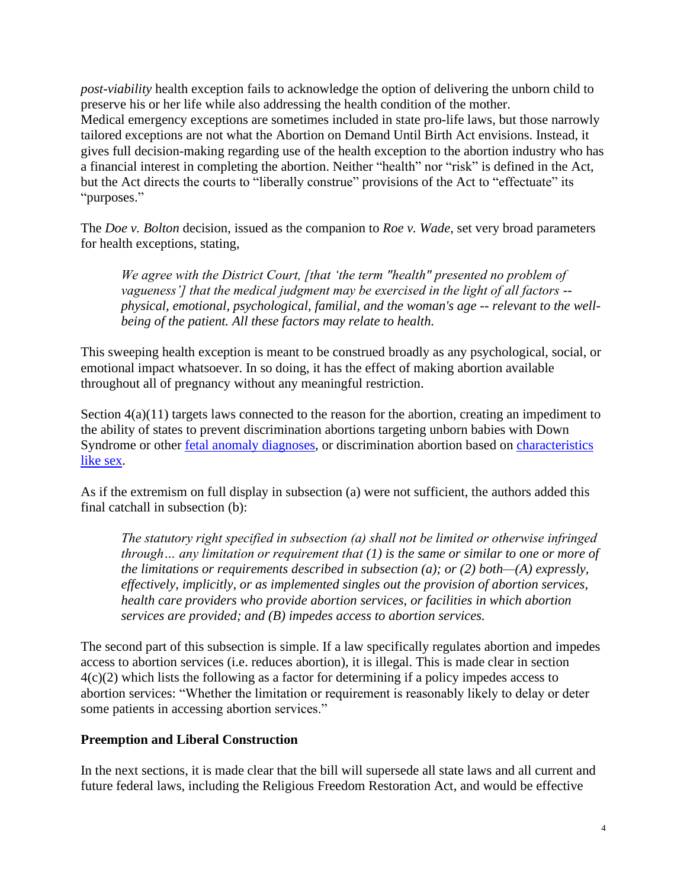*post-viability* health exception fails to acknowledge the option of delivering the unborn child to preserve his or her life while also addressing the health condition of the mother. Medical emergency exceptions are sometimes included in state pro-life laws, but those narrowly tailored exceptions are not what the Abortion on Demand Until Birth Act envisions. Instead, it gives full decision-making regarding use of the health exception to the abortion industry who has a financial interest in completing the abortion. Neither "health" nor "risk" is defined in the Act, but the Act directs the courts to "liberally construe" provisions of the Act to "effectuate" its "purposes."

The *Doe v. Bolton* decision, issued as the companion to *Roe v. Wade,* set very broad parameters for health exceptions, stating,

*We agree with the District Court, [that 'the term "health" presented no problem of vagueness'] that the medical judgment may be exercised in the light of all factors - physical, emotional, psychological, familial, and the woman's age -- relevant to the wellbeing of the patient. All these factors may relate to health.*

This sweeping health exception is meant to be construed broadly as any psychological, social, or emotional impact whatsoever. In so doing, it has the effect of making abortion available throughout all of pregnancy without any meaningful restriction.

Section  $4(a)(11)$  targets laws connected to the reason for the abortion, creating an impediment to the ability of states to prevent discrimination abortions targeting unborn babies with Down Syndrome or other fetal anomaly diagnoses, or discrimination abortion based on characteristics like sex.

As if the extremism on full display in subsection (a) were not sufficient, the authors added this final catchall in subsection (b):

*The statutory right specified in subsection (a) shall not be limited or otherwise infringed through… any limitation or requirement that (1) is the same or similar to one or more of the limitations or requirements described in subsection (a); or (2) both—(A) expressly, effectively, implicitly, or as implemented singles out the provision of abortion services, health care providers who provide abortion services, or facilities in which abortion services are provided; and (B) impedes access to abortion services.*

The second part of this subsection is simple. If a law specifically regulates abortion and impedes access to abortion services (i.e. reduces abortion), it is illegal. This is made clear in section 4(c)(2) which lists the following as a factor for determining if a policy impedes access to abortion services: "Whether the limitation or requirement is reasonably likely to delay or deter some patients in accessing abortion services."

### **Preemption and Liberal Construction**

In the next sections, it is made clear that the bill will supersede all state laws and all current and future federal laws, including the Religious Freedom Restoration Act, and would be effective